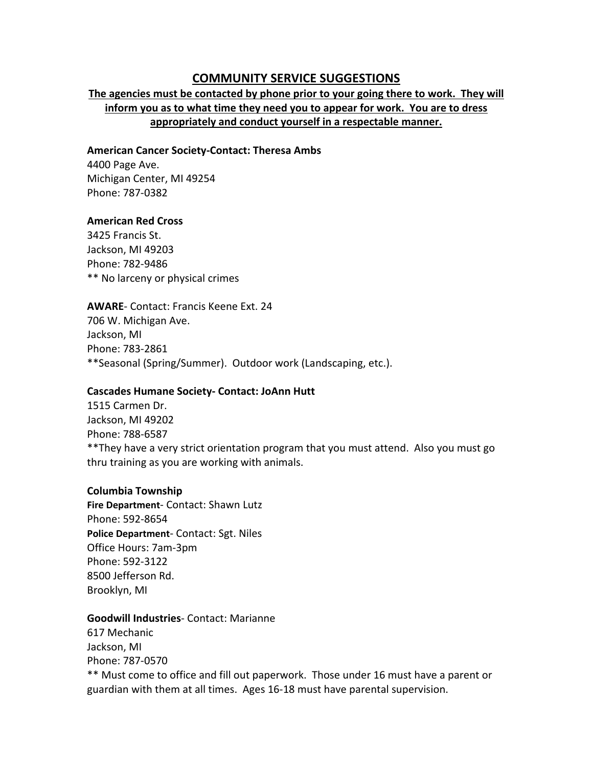# **COMMUNITY SERVICE SUGGESTIONS**

# **The agencies must be contacted by phone prior to your going there to work. They will inform you as to what time they need you to appear for work. You are to dress appropriately and conduct yourself in a respectable manner.**

### **American Cancer Society‐Contact: Theresa Ambs**

4400 Page Ave. Michigan Center, MI 49254 Phone: 787‐0382

## **American Red Cross**

3425 Francis St. Jackson, MI 49203 Phone: 782‐9486 \*\* No larceny or physical crimes

**AWARE**‐ Contact: Francis Keene Ext. 24 706 W. Michigan Ave. Jackson, MI Phone: 783‐2861 \*\*Seasonal (Spring/Summer). Outdoor work (Landscaping, etc.).

## **Cascades Humane Society‐ Contact: JoAnn Hutt**

1515 Carmen Dr. Jackson, MI 49202 Phone: 788‐6587 \*\*They have a very strict orientation program that you must attend. Also you must go thru training as you are working with animals.

## **Columbia Township**

**Fire Department**‐ Contact: Shawn Lutz Phone: 592‐8654 **Police Department**‐ Contact: Sgt. Niles Office Hours: 7am‐3pm Phone: 592‐3122 8500 Jefferson Rd. Brooklyn, MI

## **Goodwill Industries**‐ Contact: Marianne

617 Mechanic Jackson, MI Phone: 787‐0570 \*\* Must come to office and fill out paperwork. Those under 16 must have a parent or guardian with them at all times. Ages 16‐18 must have parental supervision.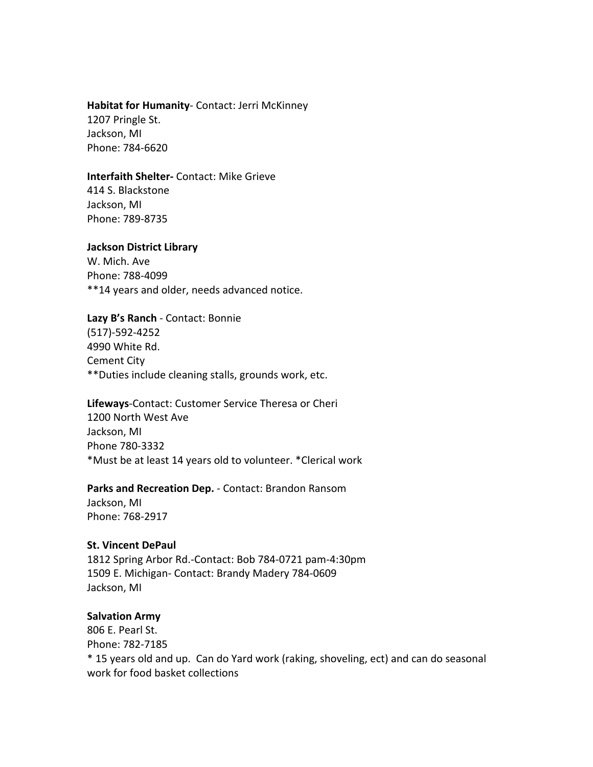#### **Habitat for Humanity**‐ Contact: Jerri McKinney

1207 Pringle St. Jackson, MI Phone: 784‐6620

#### **Interfaith Shelter‐** Contact: Mike Grieve

414 S. Blackstone Jackson, MI Phone: 789‐8735

#### **Jackson District Library**

W. Mich. Ave Phone: 788‐4099 \*\*14 years and older, needs advanced notice.

### **Lazy B's Ranch** ‐ Contact: Bonnie

(517)‐592‐4252 4990 White Rd. Cement City \*\*Duties include cleaning stalls, grounds work, etc.

## **Lifeways**‐Contact: Customer Service Theresa or Cheri 1200 North West Ave Jackson, MI Phone 780‐3332 \*Must be at least 14 years old to volunteer. \*Clerical work

#### **Parks and Recreation Dep.** ‐ Contact: Brandon Ransom

Jackson, MI Phone: 768‐2917

#### **St. Vincent DePaul**

1812 Spring Arbor Rd.‐Contact: Bob 784‐0721 pam‐4:30pm 1509 E. Michigan‐ Contact: Brandy Madery 784‐0609 Jackson, MI

## **Salvation Army**

806 E. Pearl St. Phone: 782‐7185 \* 15 years old and up. Can do Yard work (raking, shoveling, ect) and can do seasonal work for food basket collections